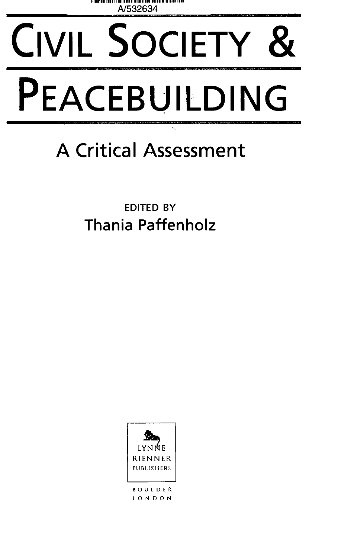

## CIVIL SOCIETY & PEACEBUILDING

## **A Critical Assessment**

EDITED BY **Thania Paffenholz**



**BOULDER . LONDO N**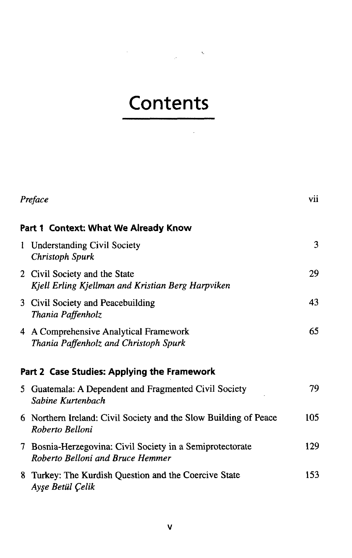## **Contents**

 $\alpha$  ,  $\alpha$  ,  $\alpha$ 

 $\label{eq:2.1} \frac{1}{\sqrt{2\pi}}\sum_{i=1}^n\frac{1}{\sqrt{2\pi}}\sum_{i=1}^n\frac{1}{\sqrt{2\pi}}\sum_{i=1}^n\frac{1}{\sqrt{2\pi}}\sum_{i=1}^n\frac{1}{\sqrt{2\pi}}\sum_{i=1}^n\frac{1}{\sqrt{2\pi}}\sum_{i=1}^n\frac{1}{\sqrt{2\pi}}\sum_{i=1}^n\frac{1}{\sqrt{2\pi}}\sum_{i=1}^n\frac{1}{\sqrt{2\pi}}\sum_{i=1}^n\frac{1}{\sqrt{2\pi}}\sum_{i=1}^n\$ 

|                                      | Preface                                                                                       | vii |  |
|--------------------------------------|-----------------------------------------------------------------------------------------------|-----|--|
| Part 1 Context: What We Already Know |                                                                                               |     |  |
| $\mathbf{1}$                         | <b>Understanding Civil Society</b><br>Christoph Spurk                                         | 3   |  |
|                                      | 2 Civil Society and the State<br>Kjell Erling Kjellman and Kristian Berg Harpviken            | 29  |  |
|                                      | 3 Civil Society and Peacebuilding<br>Thania Paffenholz                                        | 43  |  |
|                                      | 4 A Comprehensive Analytical Framework<br>Thania Paffenholz and Christoph Spurk               | 65  |  |
|                                      | Part 2 Case Studies: Applying the Framework                                                   |     |  |
|                                      | 5 Guatemala: A Dependent and Fragmented Civil Society<br>Sabine Kurtenbach                    | 79  |  |
|                                      | 6 Northern Ireland: Civil Society and the Slow Building of Peace<br>Roberto Belloni           | 105 |  |
|                                      | 7 Bosnia-Herzegovina: Civil Society in a Semiprotectorate<br>Roberto Belloni and Bruce Hemmer | 129 |  |
|                                      | 8 Turkey: The Kurdish Question and the Coercive State<br>Ayşe Betül Çelik                     | 153 |  |